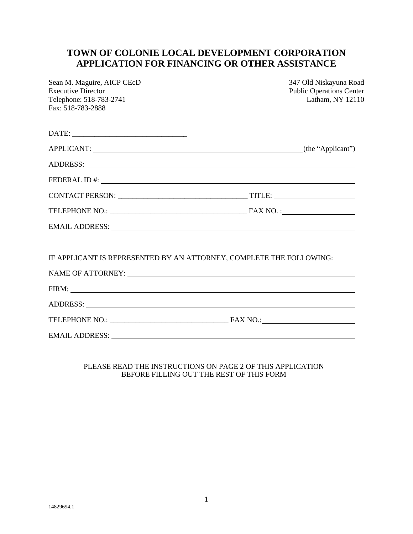# **TOWN OF COLONIE LOCAL DEVELOPMENT CORPORATION APPLICATION FOR FINANCING OR OTHER ASSISTANCE**

| Sean M. Maguire, AICP CEcD<br><b>Executive Director</b>             | 347 Old Niskayuna Road<br><b>Public Operations Center</b>                                                                                                                                                                            |
|---------------------------------------------------------------------|--------------------------------------------------------------------------------------------------------------------------------------------------------------------------------------------------------------------------------------|
| Telephone: 518-783-2741                                             | Latham, NY 12110                                                                                                                                                                                                                     |
| Fax: 518-783-2888                                                   |                                                                                                                                                                                                                                      |
|                                                                     |                                                                                                                                                                                                                                      |
|                                                                     | APPLICANT: (the "Applicant")                                                                                                                                                                                                         |
|                                                                     |                                                                                                                                                                                                                                      |
|                                                                     |                                                                                                                                                                                                                                      |
|                                                                     |                                                                                                                                                                                                                                      |
|                                                                     |                                                                                                                                                                                                                                      |
|                                                                     |                                                                                                                                                                                                                                      |
|                                                                     |                                                                                                                                                                                                                                      |
| IF APPLICANT IS REPRESENTED BY AN ATTORNEY, COMPLETE THE FOLLOWING: |                                                                                                                                                                                                                                      |
|                                                                     |                                                                                                                                                                                                                                      |
|                                                                     | FIRM: <u>The Community of the Community of the Community of the Community of the Community of the Community of the Community of the Community of the Community of the Community of the Community of the Community of the Communi</u> |
|                                                                     |                                                                                                                                                                                                                                      |
|                                                                     |                                                                                                                                                                                                                                      |
|                                                                     | EMAIL ADDRESS: LETTER AND THE SERVICE OF THE SERVICE OF THE SERVICE OF THE SERVICE OF THE SERVICE OF THE SERVICE OF THE SERVICE OF THE SERVICE OF THE SERVICE OF THE SERVICE OF THE SERVICE OF THE SERVICE OF THE SERVICE OF T       |
|                                                                     |                                                                                                                                                                                                                                      |

### PLEASE READ THE INSTRUCTIONS ON PAGE 2 OF THIS APPLICATION BEFORE FILLING OUT THE REST OF THIS FORM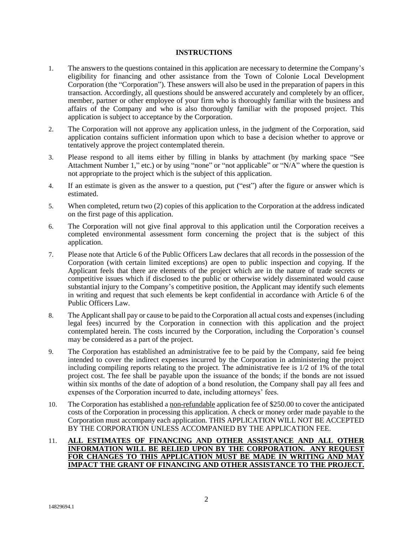### **INSTRUCTIONS**

- 1. The answers to the questions contained in this application are necessary to determine the Company's eligibility for financing and other assistance from the Town of Colonie Local Development Corporation (the "Corporation"). These answers will also be used in the preparation of papers in this transaction. Accordingly, all questions should be answered accurately and completely by an officer, member, partner or other employee of your firm who is thoroughly familiar with the business and affairs of the Company and who is also thoroughly familiar with the proposed project. This application is subject to acceptance by the Corporation.
- 2. The Corporation will not approve any application unless, in the judgment of the Corporation, said application contains sufficient information upon which to base a decision whether to approve or tentatively approve the project contemplated therein.
- 3. Please respond to all items either by filling in blanks by attachment (by marking space "See Attachment Number 1," etc.) or by using "none" or "not applicable" or "N/A" where the question is not appropriate to the project which is the subject of this application.
- 4. If an estimate is given as the answer to a question, put ("est") after the figure or answer which is estimated.
- 5. When completed, return two (2) copies of this application to the Corporation at the address indicated on the first page of this application.
- 6. The Corporation will not give final approval to this application until the Corporation receives a completed environmental assessment form concerning the project that is the subject of this application.
- 7. Please note that Article 6 of the Public Officers Law declares that all records in the possession of the Corporation (with certain limited exceptions) are open to public inspection and copying. If the Applicant feels that there are elements of the project which are in the nature of trade secrets or competitive issues which if disclosed to the public or otherwise widely disseminated would cause substantial injury to the Company's competitive position, the Applicant may identify such elements in writing and request that such elements be kept confidential in accordance with Article 6 of the Public Officers Law.
- 8. The Applicant shall pay or cause to be paid to the Corporation all actual costs and expenses (including legal fees) incurred by the Corporation in connection with this application and the project contemplated herein. The costs incurred by the Corporation, including the Corporation's counsel may be considered as a part of the project.
- 9. The Corporation has established an administrative fee to be paid by the Company, said fee being intended to cover the indirect expenses incurred by the Corporation in administering the project including compiling reports relating to the project. The administrative fee is 1/2 of 1% of the total project cost. The fee shall be payable upon the issuance of the bonds; if the bonds are not issued within six months of the date of adoption of a bond resolution, the Company shall pay all fees and expenses of the Corporation incurred to date, including attorneys' fees.
- 10. The Corporation has established a non-refundable application fee of \$250.00 to cover the anticipated costs of the Corporation in processing this application. A check or money order made payable to the Corporation must accompany each application. THIS APPLICATION WILL NOT BE ACCEPTED BY THE CORPORATION UNLESS ACCOMPANIED BY THE APPLICATION FEE.

### 11. **ALL ESTIMATES OF FINANCING AND OTHER ASSISTANCE AND ALL OTHER INFORMATION WILL BE RELIED UPON BY THE CORPORATION. ANY REQUEST FOR CHANGES TO THIS APPLICATION MUST BE MADE IN WRITING AND MAY IMPACT THE GRANT OF FINANCING AND OTHER ASSISTANCE TO THE PROJECT.**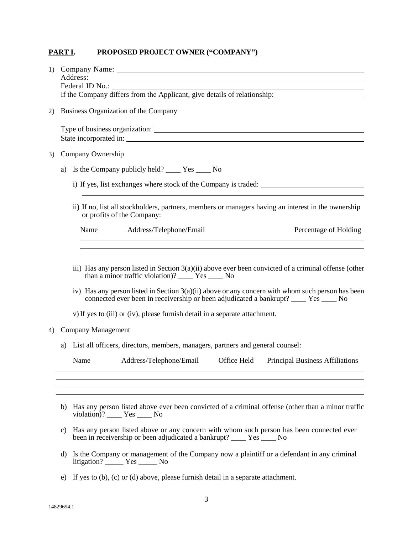## **PART I. PROPOSED PROJECT OWNER ("COMPANY")**

|    |                                                                                                                                                                                                                                                                                                                                                                                                                                                                                                                                                                                                                                                                                               | 1) Company Name: 1. 2010 1. 2010 1. 2010 1. 2010 1. 2010 1. 2010 1. 2010 1. 2010 1. 2010 1. 2010 1. 2010 1. 2010 1. 2010 1. 2010 1. 2010 1. 2010 1. 2010 1. 2010 1. 2010 1. 2010 1. 2010 1. 2010 1. 2010 1. 2010 1. 2010 1. 20                                                         |  |  |  |
|----|-----------------------------------------------------------------------------------------------------------------------------------------------------------------------------------------------------------------------------------------------------------------------------------------------------------------------------------------------------------------------------------------------------------------------------------------------------------------------------------------------------------------------------------------------------------------------------------------------------------------------------------------------------------------------------------------------|----------------------------------------------------------------------------------------------------------------------------------------------------------------------------------------------------------------------------------------------------------------------------------------|--|--|--|
| 2) | Business Organization of the Company                                                                                                                                                                                                                                                                                                                                                                                                                                                                                                                                                                                                                                                          |                                                                                                                                                                                                                                                                                        |  |  |  |
|    |                                                                                                                                                                                                                                                                                                                                                                                                                                                                                                                                                                                                                                                                                               |                                                                                                                                                                                                                                                                                        |  |  |  |
| 3) | Company Ownership                                                                                                                                                                                                                                                                                                                                                                                                                                                                                                                                                                                                                                                                             |                                                                                                                                                                                                                                                                                        |  |  |  |
|    | a)                                                                                                                                                                                                                                                                                                                                                                                                                                                                                                                                                                                                                                                                                            | Is the Company publicly held? _______ Yes ______ No                                                                                                                                                                                                                                    |  |  |  |
|    |                                                                                                                                                                                                                                                                                                                                                                                                                                                                                                                                                                                                                                                                                               | i) If yes, list exchanges where stock of the Company is traded:<br><u> 1980 - Johann Barn, mars ann an t-Amhain Aonaichte ann an t-Aonaichte ann an t-Aonaichte ann an t-Aonaichte a</u>                                                                                               |  |  |  |
|    |                                                                                                                                                                                                                                                                                                                                                                                                                                                                                                                                                                                                                                                                                               | ii) If no, list all stockholders, partners, members or managers having an interest in the ownership<br>or profits of the Company:                                                                                                                                                      |  |  |  |
|    |                                                                                                                                                                                                                                                                                                                                                                                                                                                                                                                                                                                                                                                                                               | Name Address/Telephone/Email<br>Percentage of Holding<br>the control of the control of the control of the control of the control of the control of the control of the control of the control of the control of the control of the control of the control of the control of the control |  |  |  |
| 4) | <u> 1989 - Johann Stoff, deutscher Stoff, der Stoff, der Stoff, der Stoff, der Stoff, der Stoff, der Stoff, der S</u><br>iii) Has any person listed in Section $3(a)(ii)$ above ever been convicted of a criminal offense (other<br>than a minor traffic violation)? _______ Yes ______ No<br>iv) Has any person listed in Section $3(a)(ii)$ above or any concern with whom such person has been<br>connected ever been in receivership or been adjudicated a bankrupt? ____ Yes ____ No<br>v) If yes to (iii) or (iv), please furnish detail in a separate attachment.<br><b>Company Management</b><br>List all officers, directors, members, managers, partners and general counsel:<br>a) |                                                                                                                                                                                                                                                                                        |  |  |  |
|    |                                                                                                                                                                                                                                                                                                                                                                                                                                                                                                                                                                                                                                                                                               | Address/Telephone/Email<br>Office Held<br>Name<br><b>Principal Business Affiliations</b>                                                                                                                                                                                               |  |  |  |
|    |                                                                                                                                                                                                                                                                                                                                                                                                                                                                                                                                                                                                                                                                                               |                                                                                                                                                                                                                                                                                        |  |  |  |
|    |                                                                                                                                                                                                                                                                                                                                                                                                                                                                                                                                                                                                                                                                                               | b) Has any person listed above ever been convicted of a criminal offense (other than a minor traffic<br>violation)? _____ Yes _____ No                                                                                                                                                 |  |  |  |
|    | Has any person listed above or any concern with whom such person has been connected ever<br>C)<br>been in receivership or been adjudicated a bankrupt? _____ Yes _____ No                                                                                                                                                                                                                                                                                                                                                                                                                                                                                                                     |                                                                                                                                                                                                                                                                                        |  |  |  |
|    | d)                                                                                                                                                                                                                                                                                                                                                                                                                                                                                                                                                                                                                                                                                            | Is the Company or management of the Company now a plaintiff or a defendant in any criminal<br>$litigation?$ $Yes$ $No$                                                                                                                                                                 |  |  |  |

e) If yes to (b), (c) or (d) above, please furnish detail in a separate attachment.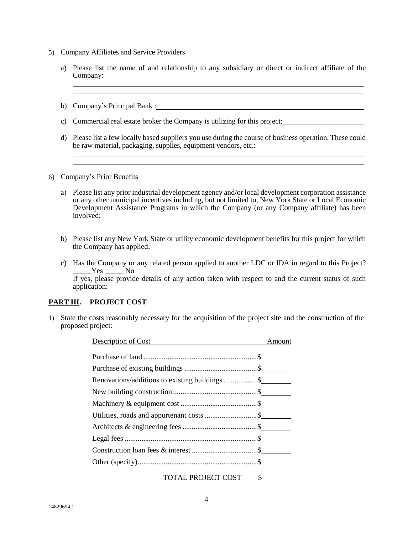- 5) Company Affiliates and Service Providers
	- a) Please list the name of and relationship to any subsidiary or direct or indirect affiliate of the Company:
	- b) Company's Principal Bank :
	- c) Commercial real estate broker the Company is utilizing for this project:
	- d) Please list a few locally based suppliers you use during the course of business operation. These could be raw material, packaging, supplies, equipment vendors, etc.:

<u> 1989 - Johann Stoff, amerikansk politiker (\* 1908)</u>

6) Company's Prior Benefits

- a) Please list any prior industrial development agency and/or local development corporation assistance or any other municipal incentives including, but not limited to, New York State or Local Economic Development Assistance Programs in which the Company (or any Company affiliate) has been involved:
- b) Please list any New York State or utility economic development benefits for this project for which the Company has applied:
- c) Has the Company or any related person applied to another LDC or IDA in regard to this Project? \_\_\_\_\_Yes \_\_\_\_\_ No If yes, please provide details of any action taken with respect to and the current status of such

application:

### **PART III. PROJECT COST**

1) State the costs reasonably necessary for the acquisition of the project site and the construction of the proposed project:

| Description of Cost                            | Amount                |
|------------------------------------------------|-----------------------|
|                                                |                       |
|                                                |                       |
| Renovations/additions to existing buildings \$ |                       |
|                                                |                       |
|                                                |                       |
|                                                |                       |
|                                                |                       |
|                                                |                       |
|                                                |                       |
|                                                |                       |
| <b>TOTAL PROJECT COST</b>                      | $\frac{\cdot}{\cdot}$ |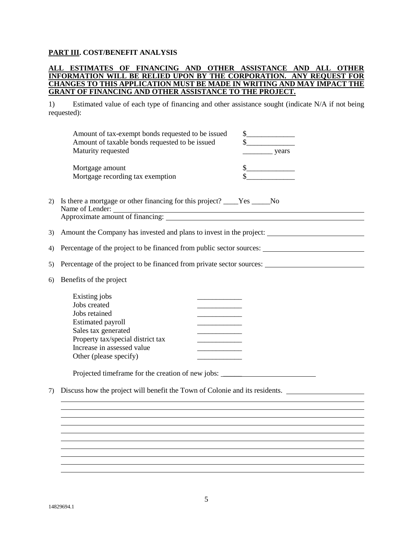## **PART III. COST/BENEFIT ANALYSIS**

### **ALL ESTIMATES OF FINANCING AND OTHER ASSISTANCE AND ALL OTHER INFORMATION WILL BE RELIED UPON BY THE CORPORATION. ANY REQUEST FOR CHANGES TO THIS APPLICATION MUST BE MADE IN WRITING AND MAY IMPACT THE GRANT OF FINANCING AND OTHER ASSISTANCE TO THE PROJECT.**

1) Estimated value of each type of financing and other assistance sought (indicate N/A if not being requested):

|    | Amount of tax-exempt bonds requested to be issued<br>Amount of taxable bonds requested to be issued<br>Maturity requested         | years |  |
|----|-----------------------------------------------------------------------------------------------------------------------------------|-------|--|
|    | Mortgage amount<br>Mortgage recording tax exemption                                                                               |       |  |
| 2) | Is there a mortgage or other financing for this project? _____Yes ______No<br>Name of Lender:<br>Approximate amount of financing: |       |  |
| 3) | Amount the Company has invested and plans to invest in the project:                                                               |       |  |

4) Percentage of the project to be financed from public sector sources:

5) Percentage of the project to be financed from private sector sources:

6) Benefits of the project

| Existing jobs                     |  |
|-----------------------------------|--|
| Jobs created                      |  |
| Jobs retained                     |  |
| <b>Estimated payroll</b>          |  |
| Sales tax generated               |  |
| Property tax/special district tax |  |
| Increase in assessed value        |  |
| Other (please specify)            |  |
|                                   |  |

Projected timeframe for the creation of new jobs: \_\_\_\_\_\_\_\_\_\_\_\_\_\_\_\_\_\_\_\_\_\_\_\_\_\_\_\_\_\_

7) Discuss how the project will benefit the Town of Colonie and its residents.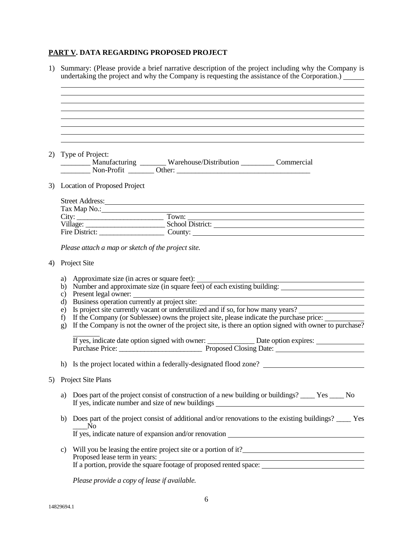# **PART V. DATA REGARDING PROPOSED PROJECT**

| 1) |                | Summary: (Please provide a brief narrative description of the project including why the Company is<br>undertaking the project and why the Company is requesting the assistance of the Corporation.) |
|----|----------------|-----------------------------------------------------------------------------------------------------------------------------------------------------------------------------------------------------|
|    |                |                                                                                                                                                                                                     |
|    |                | ,我们也不会有什么。""我们的人,我们也不会有什么?""我们的人,我们也不会有什么?""我们的人,我们也不会有什么?""我们的人,我们也不会有什么?""我们的人                                                                                                                    |
| 2) |                | Type of Project:<br>_________ Manufacturing _______ Warehouse/Distribution _________ Commercial                                                                                                     |
|    |                | 3) Location of Proposed Project                                                                                                                                                                     |
|    |                | Street Address: <u>Communications</u> Contained Address:                                                                                                                                            |
|    |                | Tax Map No.:<br>City: Town: Town: Town: Town: Village: School District:                                                                                                                             |
|    |                |                                                                                                                                                                                                     |
|    |                | Fire District: County: County:                                                                                                                                                                      |
|    |                | Please attach a map or sketch of the project site.                                                                                                                                                  |
| 4) |                | Project Site                                                                                                                                                                                        |
|    | a)<br>b)<br>C) | Approximate size (in acres or square feet):<br>Number and approximate size (in square feet) of each existing building:                                                                              |
|    | d)             | Present legal owner:<br>Business operation currently at project site:                                                                                                                               |
|    | e)             | Is project site currently vacant or underutilized and if so, for how many years?                                                                                                                    |
|    | f              | If the Company (or Sublessee) owns the project site, please indicate the purchase price:                                                                                                            |
|    | $\mathbf{g}$   | If the Company is not the owner of the project site, is there an option signed with owner to purchase?                                                                                              |
|    |                | If yes, indicate date option signed with owner: _______________ Date option expires: ______________<br>Purchase Price: <u>Proposed Closing</u> Date:                                                |
|    |                | h) Is the project located within a federally-designated flood zone?                                                                                                                                 |
| 5) |                | Project Site Plans                                                                                                                                                                                  |
|    | a)             | Does part of the project consist of construction of a new building or buildings? ______ Yes _____ No<br>If yes, indicate number and size of new buildings _______________________________           |
|    | b)             | Does part of the project consist of additional and/or renovations to the existing buildings? ____ Yes<br>N <sub>o</sub>                                                                             |
|    |                |                                                                                                                                                                                                     |
|    | c)             | Will you be leasing the entire project site or a portion of it?<br><u>Lease and the set of a</u> portion of it?                                                                                     |
|    |                |                                                                                                                                                                                                     |
|    |                | Please provide a copy of lease if available.                                                                                                                                                        |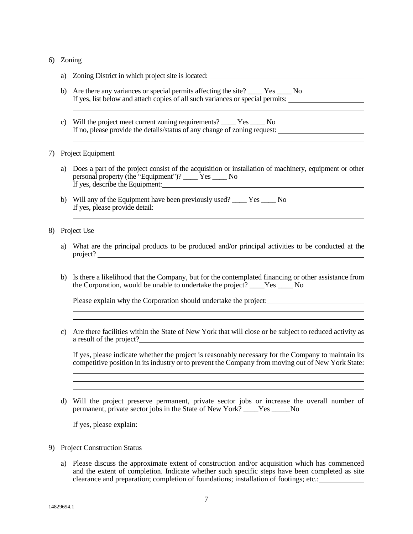### 6) Zoning

- a) Zoning District in which project site is located: b) Are there any variances or special permits affecting the site? Yes No If yes, list below and attach copies of all such variances or special permits:
- c) Will the project meet current zoning requirements? \_\_\_\_ Yes \_\_\_\_ No If no, please provide the details/status of any change of zoning request:

#### 7) Project Equipment

- a) Does a part of the project consist of the acquisition or installation of machinery, equipment or other personal property (the "Equipment")? \_\_\_\_ Yes \_\_\_\_ No If yes, describe the Equipment:
- b) Will any of the Equipment have been previously used? \_\_\_\_ Yes \_\_\_\_ No If yes, please provide detail:

#### 8) Project Use

- a) What are the principal products to be produced and/or principal activities to be conducted at the project?
- b) Is there a likelihood that the Company, but for the contemplated financing or other assistance from the Corporation, would be unable to undertake the project? \_\_\_\_Yes \_\_\_\_ No

Please explain why the Corporation should undertake the project:

c) Are there facilities within the State of New York that will close or be subject to reduced activity as a result of the project?

If yes, please indicate whether the project is reasonably necessary for the Company to maintain its competitive position in its industry or to prevent the Company from moving out of New York State:

d) Will the project preserve permanent, private sector jobs or increase the overall number of permanent, private sector jobs in the State of New York? \_\_\_\_Yes \_\_\_\_\_No

If yes, please explain:

- 9) Project Construction Status
	- a) Please discuss the approximate extent of construction and/or acquisition which has commenced and the extent of completion. Indicate whether such specific steps have been completed as site clearance and preparation; completion of foundations; installation of footings; etc.: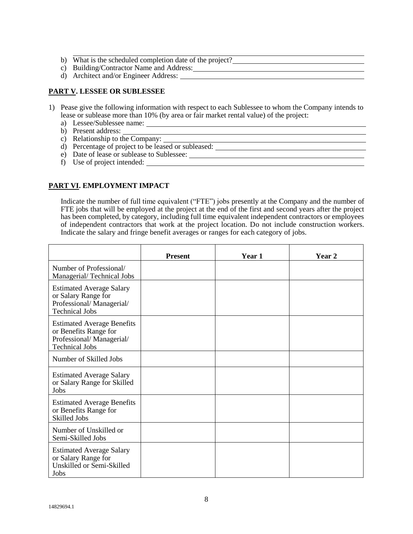- b) What is the scheduled completion date of the project?
- c) Building/Contractor Name and Address:
- d) Architect and/or Engineer Address:

## **PART V. LESSEE OR SUBLESSEE**

- 1) Pease give the following information with respect to each Sublessee to whom the Company intends to lease or sublease more than 10% (by area or fair market rental value) of the project:
	- a) Lessee/Sublessee name:
	- b) Present address:
	- c) Relationship to the Company:
	- d) Percentage of project to be leased or subleased:
	- e) Date of lease or sublease to Sublessee:
	- f) Use of project intended:

## **PART VI. EMPLOYMENT IMPACT**

Indicate the number of full time equivalent ("FTE") jobs presently at the Company and the number of FTE jobs that will be employed at the project at the end of the first and second years after the project has been completed, by category, including full time equivalent independent contractors or employees of independent contractors that work at the project location. Do not include construction workers. Indicate the salary and fringe benefit averages or ranges for each category of jobs.

<u> 1980 - Johann Barbara, martxa alemaniar amerikan a</u>

|                                                                                                                 | <b>Present</b> | Year 1 | Year 2 |
|-----------------------------------------------------------------------------------------------------------------|----------------|--------|--------|
| Number of Professional/<br>Managerial/Technical Jobs                                                            |                |        |        |
| <b>Estimated Average Salary</b><br>or Salary Range for<br>Professional/Managerial/<br><b>Technical Jobs</b>     |                |        |        |
| <b>Estimated Average Benefits</b><br>or Benefits Range for<br>Professional/Managerial/<br><b>Technical Jobs</b> |                |        |        |
| Number of Skilled Jobs                                                                                          |                |        |        |
| <b>Estimated Average Salary</b><br>or Salary Range for Skilled<br>Jobs                                          |                |        |        |
| <b>Estimated Average Benefits</b><br>or Benefits Range for<br><b>Skilled Jobs</b>                               |                |        |        |
| Number of Unskilled or<br>Semi-Skilled Jobs                                                                     |                |        |        |
| <b>Estimated Average Salary</b><br>or Salary Range for<br>Unskilled or Semi-Skilled<br>Jobs                     |                |        |        |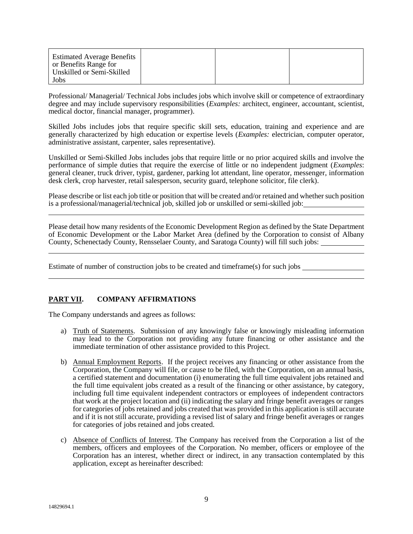| <b>Estimated Average Benefits</b><br>or Benefits Range for<br>Unskilled or Semi-Skilled |  |  |
|-----------------------------------------------------------------------------------------|--|--|
| Jobs                                                                                    |  |  |

Professional/ Managerial/ Technical Jobs includes jobs which involve skill or competence of extraordinary degree and may include supervisory responsibilities (*Examples:* architect, engineer, accountant, scientist, medical doctor, financial manager, programmer).

Skilled Jobs includes jobs that require specific skill sets, education, training and experience and are generally characterized by high education or expertise levels (*Examples:* electrician, computer operator, administrative assistant, carpenter, sales representative).

Unskilled or Semi-Skilled Jobs includes jobs that require little or no prior acquired skills and involve the performance of simple duties that require the exercise of little or no independent judgment (*Examples*: general cleaner, truck driver, typist, gardener, parking lot attendant, line operator, messenger, information desk clerk, crop harvester, retail salesperson, security guard, telephone solicitor, file clerk).

Please describe or list each job title or position that will be created and/or retained and whether such position is a professional/managerial/technical job, skilled job or unskilled or semi-skilled job:

Please detail how many residents of the Economic Development Region as defined by the State Department of Economic Development or the Labor Market Area (defined by the Corporation to consist of Albany County, Schenectady County, Rensselaer County, and Saratoga County) will fill such jobs:

Estimate of number of construction jobs to be created and timeframe(s) for such jobs

### **PART VII. COMPANY AFFIRMATIONS**

The Company understands and agrees as follows:

- a) Truth of Statements. Submission of any knowingly false or knowingly misleading information may lead to the Corporation not providing any future financing or other assistance and the immediate termination of other assistance provided to this Project.
- b) Annual Employment Reports. If the project receives any financing or other assistance from the Corporation, the Company will file, or cause to be filed, with the Corporation, on an annual basis, a certified statement and documentation (i) enumerating the full time equivalent jobs retained and the full time equivalent jobs created as a result of the financing or other assistance, by category, including full time equivalent independent contractors or employees of independent contractors that work at the project location and (ii) indicating the salary and fringe benefit averages or ranges for categories of jobs retained and jobs created that was provided in this application is still accurate and if it is not still accurate, providing a revised list of salary and fringe benefit averages or ranges for categories of jobs retained and jobs created.
- c) Absence of Conflicts of Interest. The Company has received from the Corporation a list of the members, officers and employees of the Corporation. No member, officers or employee of the Corporation has an interest, whether direct or indirect, in any transaction contemplated by this application, except as hereinafter described: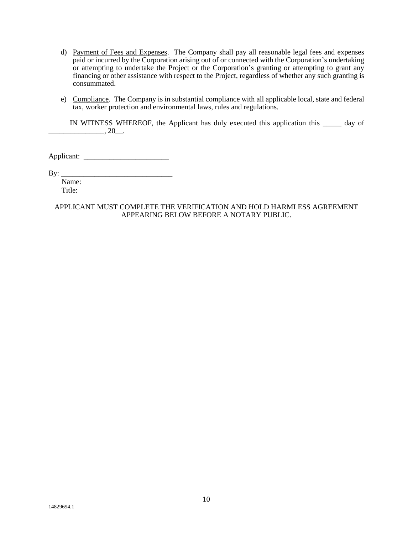- d) Payment of Fees and Expenses. The Company shall pay all reasonable legal fees and expenses paid or incurred by the Corporation arising out of or connected with the Corporation's undertaking or attempting to undertake the Project or the Corporation's granting or attempting to grant any financing or other assistance with respect to the Project, regardless of whether any such granting is consummated.
- e) Compliance. The Company is in substantial compliance with all applicable local, state and federal tax, worker protection and environmental laws, rules and regulations.

IN WITNESS WHEREOF, the Applicant has duly executed this application this \_\_\_\_\_ day of  $\frac{1}{20}$ , 20\_.

Applicant:

By: \_\_\_\_\_\_\_\_\_\_\_\_\_\_\_\_\_\_\_\_\_\_\_\_\_\_\_\_\_\_

 Name: Title:

APPLICANT MUST COMPLETE THE VERIFICATION AND HOLD HARMLESS AGREEMENT APPEARING BELOW BEFORE A NOTARY PUBLIC.